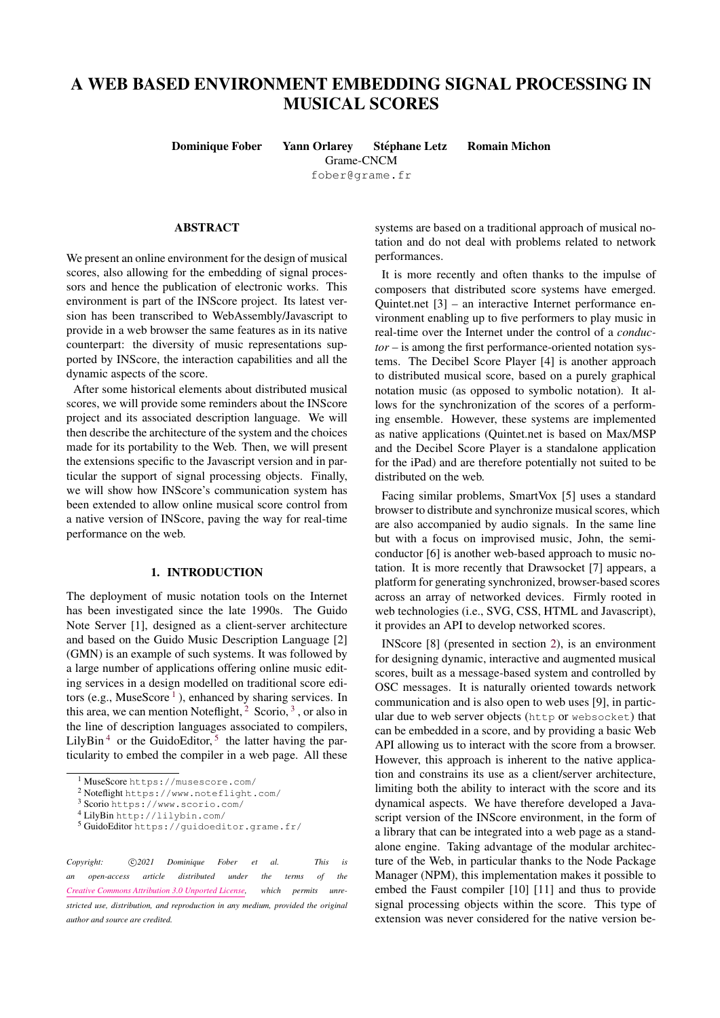# A WEB BASED ENVIRONMENT EMBEDDING SIGNAL PROCESSING IN MUSICAL SCORES

Dominique Fober Yann Orlarey Stéphane Letz Romain Michon Grame-CNCM

[fober@grame.fr](mailto:fober@grame)

#### ABSTRACT

We present an online environment for the design of musical scores, also allowing for the embedding of signal processors and hence the publication of electronic works. This environment is part of the INScore project. Its latest version has been transcribed to WebAssembly/Javascript to provide in a web browser the same features as in its native counterpart: the diversity of music representations supported by INScore, the interaction capabilities and all the dynamic aspects of the score.

After some historical elements about distributed musical scores, we will provide some reminders about the INScore project and its associated description language. We will then describe the architecture of the system and the choices made for its portability to the Web. Then, we will present the extensions specific to the Javascript version and in particular the support of signal processing objects. Finally, we will show how INScore's communication system has been extended to allow online musical score control from a native version of INScore, paving the way for real-time performance on the web.

#### 1. INTRODUCTION

The deployment of music notation tools on the Internet has been investigated since the late 1990s. The Guido Note Server [\[1\]](#page-4-0), designed as a client-server architecture and based on the Guido Music Description Language [\[2\]](#page-4-1) (GMN) is an example of such systems. It was followed by a large number of applications offering online music editing services in a design modelled on traditional score edi-tors (e.g., MuseScore<sup>[1](#page-0-0)</sup>), enhanced by sharing services. In this area, we can mention Noteflight,  $2$  Scorio,  $3$ , or also in the line of description languages associated to compilers, LilyBin<sup>[4](#page-0-3)</sup> or the GuidoEditor,<sup>[5](#page-0-4)</sup> the latter having the particularity to embed the compiler in a web page. All these

Copyright:  $\bigcirc$ 2021 Dominique Fober et al. This is *an open-access article distributed under the terms of the [Creative Commons Attribution 3.0 Unported License,](http://creativecommons.org/licenses/by/3.0/) which permits unrestricted use, distribution, and reproduction in any medium, provided the original author and source are credited.*

systems are based on a traditional approach of musical notation and do not deal with problems related to network performances.

It is more recently and often thanks to the impulse of composers that distributed score systems have emerged. Quintet.net [\[3\]](#page-4-2) – an interactive Internet performance environment enabling up to five performers to play music in real-time over the Internet under the control of a *conductor* – is among the first performance-oriented notation systems. The Decibel Score Player [\[4\]](#page-5-0) is another approach to distributed musical score, based on a purely graphical notation music (as opposed to symbolic notation). It allows for the synchronization of the scores of a performing ensemble. However, these systems are implemented as native applications (Quintet.net is based on Max/MSP and the Decibel Score Player is a standalone application for the iPad) and are therefore potentially not suited to be distributed on the web.

Facing similar problems, SmartVox [\[5\]](#page-5-1) uses a standard browser to distribute and synchronize musical scores, which are also accompanied by audio signals. In the same line but with a focus on improvised music, John, the semiconductor [\[6\]](#page-5-2) is another web-based approach to music notation. It is more recently that Drawsocket [\[7\]](#page-5-3) appears, a platform for generating synchronized, browser-based scores across an array of networked devices. Firmly rooted in web technologies (i.e., SVG, CSS, HTML and Javascript), it provides an API to develop networked scores.

INScore [\[8\]](#page-5-4) (presented in section [2\)](#page-1-0), is an environment for designing dynamic, interactive and augmented musical scores, built as a message-based system and controlled by OSC messages. It is naturally oriented towards network communication and is also open to web uses [\[9\]](#page-5-5), in particular due to web server objects (http or websocket) that can be embedded in a score, and by providing a basic Web API allowing us to interact with the score from a browser. However, this approach is inherent to the native application and constrains its use as a client/server architecture, limiting both the ability to interact with the score and its dynamical aspects. We have therefore developed a Javascript version of the INScore environment, in the form of a library that can be integrated into a web page as a standalone engine. Taking advantage of the modular architecture of the Web, in particular thanks to the Node Package Manager (NPM), this implementation makes it possible to embed the Faust compiler [\[10\]](#page-5-6) [\[11\]](#page-5-7) and thus to provide signal processing objects within the score. This type of extension was never considered for the native version be-

<span id="page-0-0"></span><sup>1</sup> MuseScore <https://musescore.com/>

<span id="page-0-1"></span><sup>2</sup> Noteflight <https://www.noteflight.com/>

<span id="page-0-2"></span><sup>3</sup> Scorio [https://www.scorio.com/](https://www.scorio. com/)

<span id="page-0-3"></span><sup>4</sup> LilyBin <http://lilybin.com/>

<span id="page-0-4"></span><sup>5</sup> GuidoEditor <https://guidoeditor.grame.fr/>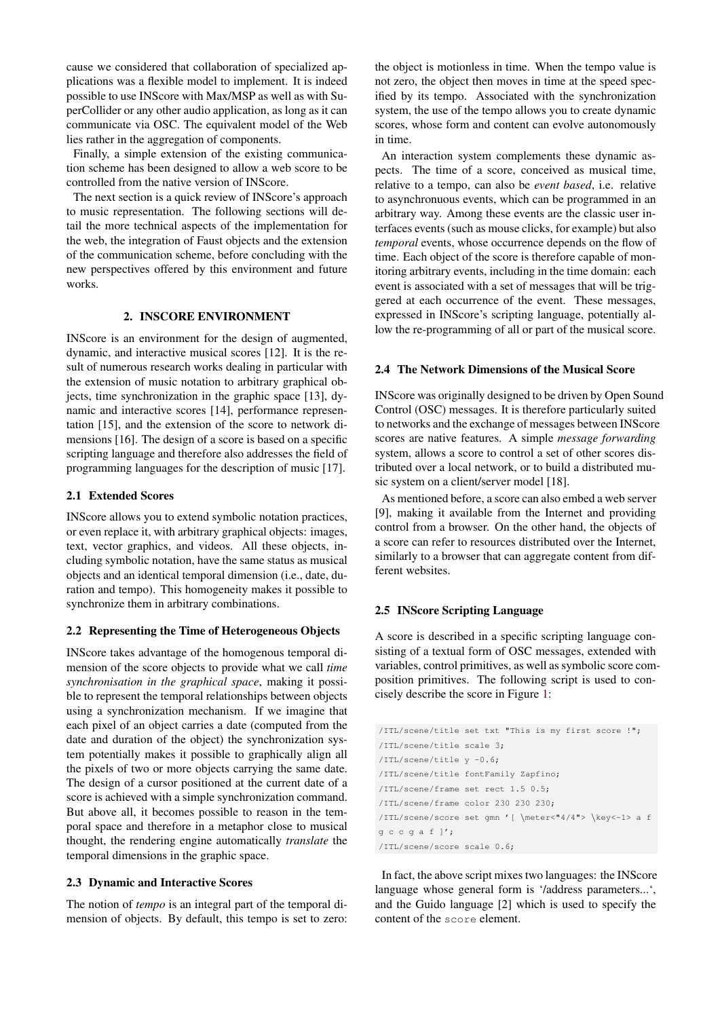cause we considered that collaboration of specialized applications was a flexible model to implement. It is indeed possible to use INScore with Max/MSP as well as with SuperCollider or any other audio application, as long as it can communicate via OSC. The equivalent model of the Web lies rather in the aggregation of components.

Finally, a simple extension of the existing communication scheme has been designed to allow a web score to be controlled from the native version of INScore.

The next section is a quick review of INScore's approach to music representation. The following sections will detail the more technical aspects of the implementation for the web, the integration of Faust objects and the extension of the communication scheme, before concluding with the new perspectives offered by this environment and future works.

# 2. INSCORE ENVIRONMENT

<span id="page-1-0"></span>INScore is an environment for the design of augmented, dynamic, and interactive musical scores [\[12\]](#page-5-8). It is the result of numerous research works dealing in particular with the extension of music notation to arbitrary graphical objects, time synchronization in the graphic space [\[13\]](#page-5-9), dynamic and interactive scores [\[14\]](#page-5-10), performance representation [\[15\]](#page-5-11), and the extension of the score to network dimensions [\[16\]](#page-5-12). The design of a score is based on a specific scripting language and therefore also addresses the field of programming languages for the description of music [\[17\]](#page-5-13).

# 2.1 Extended Scores

INScore allows you to extend symbolic notation practices, or even replace it, with arbitrary graphical objects: images, text, vector graphics, and videos. All these objects, including symbolic notation, have the same status as musical objects and an identical temporal dimension (i.e., date, duration and tempo). This homogeneity makes it possible to synchronize them in arbitrary combinations.

#### 2.2 Representing the Time of Heterogeneous Objects

INScore takes advantage of the homogenous temporal dimension of the score objects to provide what we call *time synchronisation in the graphical space*, making it possible to represent the temporal relationships between objects using a synchronization mechanism. If we imagine that each pixel of an object carries a date (computed from the date and duration of the object) the synchronization system potentially makes it possible to graphically align all the pixels of two or more objects carrying the same date. The design of a cursor positioned at the current date of a score is achieved with a simple synchronization command. But above all, it becomes possible to reason in the temporal space and therefore in a metaphor close to musical thought, the rendering engine automatically *translate* the temporal dimensions in the graphic space.

## 2.3 Dynamic and Interactive Scores

The notion of *tempo* is an integral part of the temporal dimension of objects. By default, this tempo is set to zero: the object is motionless in time. When the tempo value is not zero, the object then moves in time at the speed specified by its tempo. Associated with the synchronization system, the use of the tempo allows you to create dynamic scores, whose form and content can evolve autonomously in time.

An interaction system complements these dynamic aspects. The time of a score, conceived as musical time, relative to a tempo, can also be *event based*, i.e. relative to asynchronuous events, which can be programmed in an arbitrary way. Among these events are the classic user interfaces events (such as mouse clicks, for example) but also *temporal* events, whose occurrence depends on the flow of time. Each object of the score is therefore capable of monitoring arbitrary events, including in the time domain: each event is associated with a set of messages that will be triggered at each occurrence of the event. These messages, expressed in INScore's scripting language, potentially allow the re-programming of all or part of the musical score.

#### 2.4 The Network Dimensions of the Musical Score

INScore was originally designed to be driven by Open Sound Control (OSC) messages. It is therefore particularly suited to networks and the exchange of messages between INScore scores are native features. A simple *message forwarding* system, allows a score to control a set of other scores distributed over a local network, or to build a distributed music system on a client/server model [\[18\]](#page-5-14).

As mentioned before, a score can also embed a web server [\[9\]](#page-5-5), making it available from the Internet and providing control from a browser. On the other hand, the objects of a score can refer to resources distributed over the Internet, similarly to a browser that can aggregate content from different websites.

#### 2.5 INScore Scripting Language

A score is described in a specific scripting language consisting of a textual form of OSC messages, extended with variables, control primitives, as well as symbolic score composition primitives. The following script is used to concisely describe the score in Figure [1:](#page-2-0)

```
/ITL/scene/title set txt "This is my first score !";
/ITL/scene/title scale 3;
/ITL/scene/title y -0.6;
/ITL/scene/title fontFamily Zapfino;
/ITL/scene/frame set rect 1.5 0.5;
/ITL/scene/frame color 230 230 230;
/ITL/scene/score set gmn '[ \meter<"4/4"> \key<-1> a f
q \nctext{ } q \text{ a } f ]';
/ITL/scene/score scale 0.6;
```
In fact, the above script mixes two languages: the INScore language whose general form is '/address parameters...', and the Guido language [\[2\]](#page-4-1) which is used to specify the content of the score element.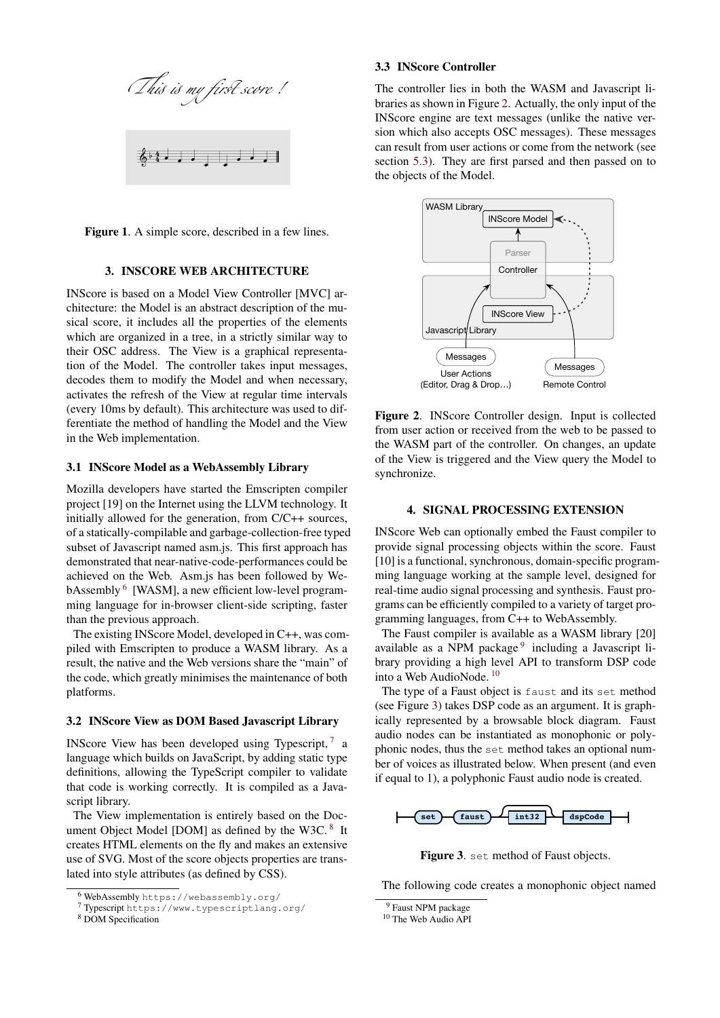<span id="page-2-0"></span>

Figure 1. A simple score, described in a few lines.

## 3. INSCORE WEB ARCHITECTURE

INScore is based on a Model View Controller [MVC] architecture: the Model is an abstract description of the musical score, it includes all the properties of the elements which are organized in a tree, in a strictly similar way to their OSC address. The View is a graphical representation of the Model. The controller takes input messages, decodes them to modify the Model and when necessary, activates the refresh of the View at regular time intervals (every 10ms by default). This architecture was used to differentiate the method of handling the Model and the View in the Web implementation.

#### 3.1 INScore Model as a WebAssembly Library

Mozilla developers have started the Emscripten compiler project [\[19\]](#page-5-15) on the Internet using the LLVM technology. It initially allowed for the generation, from C/C++ sources, of a statically-compilable and garbage-collection-free typed subset of Javascript named asm.js. This first approach has demonstrated that near-native-code-performances could be achieved on the Web. Asm.js has been followed by We-bAssembly <sup>[6](#page-2-1)</sup> [WASM], a new efficient low-level programming language for in-browser client-side scripting, faster than the previous approach.

The existing INScore Model, developed in C++, was compiled with Emscripten to produce a WASM library. As a result, the native and the Web versions share the "main" of the code, which greatly minimises the maintenance of both platforms.

#### 3.2 INScore View as DOM Based Javascript Library

INScore View has been developed using Typescript,  $7\alpha$  $7\alpha$ language which builds on JavaScript, by adding static type definitions, allowing the TypeScript compiler to validate that code is working correctly. It is compiled as a Javascript library.

The View implementation is entirely based on the Doc-ument Object Model [DOM] as defined by the W3C.<sup>[8](#page-2-3)</sup> It creates HTML elements on the fly and makes an extensive use of SVG. Most of the score objects properties are translated into style attributes (as defined by CSS).

#### 3.3 INScore Controller

The controller lies in both the WASM and Javascript libraries as shown in Figure [2.](#page-2-4) Actually, the only input of the INScore engine are text messages (unlike the native version which also accepts OSC messages). These messages can result from user actions or come from the network (see section [5.3\)](#page-4-3). They are first parsed and then passed on to the objects of the Model.

<span id="page-2-4"></span>

Figure 2. INScore Controller design. Input is collected from user action or received from the web to be passed to the WASM part of the controller. On changes, an update of the View is triggered and the View query the Model to synchronize.

## 4. SIGNAL PROCESSING EXTENSION

<span id="page-2-8"></span>INScore Web can optionally embed the Faust compiler to provide signal processing objects within the score. Faust [\[10\]](#page-5-6) is a functional, synchronous, domain-specific programming language working at the sample level, designed for real-time audio signal processing and synthesis. Faust programs can be efficiently compiled to a variety of target programming languages, from C++ to WebAssembly.

The Faust compiler is available as a WASM library [\[20\]](#page-5-16) available as a NPM package<sup>[9](#page-2-5)</sup> including a Javascript library providing a high level API to transform DSP code into a Web AudioNode. [10](#page-2-6)

The type of a Faust object is faust and its set method (see Figure [3\)](#page-2-7) takes DSP code as an argument. It is graphically represented by a browsable block diagram. Faust audio nodes can be instantiated as monophonic or polyphonic nodes, thus the set method takes an optional number of voices as illustrated below. When present (and even if equal to 1), a polyphonic Faust audio node is created.

<span id="page-2-7"></span>

Figure 3. set method of Faust objects.

The following code creates a monophonic object named

<span id="page-2-1"></span><sup>6</sup> WebAssembly <https://webassembly.org/>

<span id="page-2-2"></span><sup>7</sup> Typescript <https://www.typescriptlang.org/>

<span id="page-2-3"></span><sup>8</sup> DOM [Specification](https://www.w3.org/TR/2000/WD-DOM-Level-1-20000929/DOM.pdf)

<span id="page-2-5"></span><sup>&</sup>lt;sup>9</sup> [Faust NPM package](https://www.npmjs.com/package/@grame/libfaust)

<span id="page-2-6"></span><sup>&</sup>lt;sup>10</sup> [The Web Audio API](https://developer.mozilla.org/en-US/docs/Web/API/Web_Audio_API)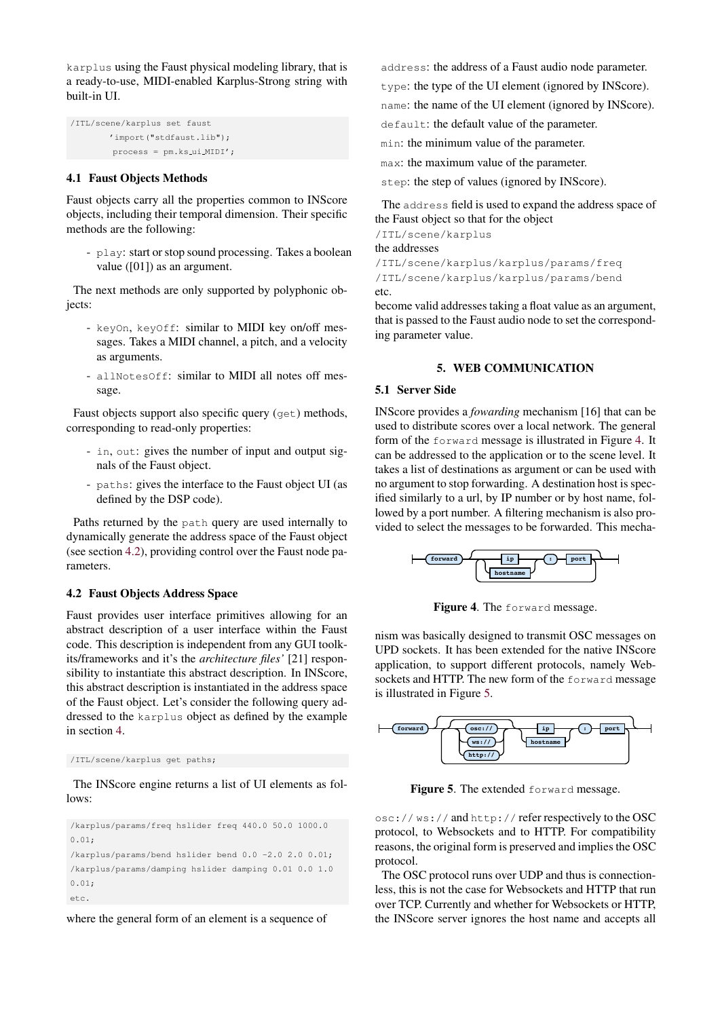karplus using the Faust physical modeling library, that is a ready-to-use, MIDI-enabled Karplus-Strong string with built-in UI.

```
/ITL/scene/karplus set faust
        'import("stdfaust.lib");
        process = pm.ks ui MIDI';
```
# 4.1 Faust Objects Methods

Faust objects carry all the properties common to INScore objects, including their temporal dimension. Their specific methods are the following:

- play: start or stop sound processing. Takes a boolean value ([01]) as an argument.

The next methods are only supported by polyphonic objects:

- keyOn, keyOff: similar to MIDI key on/off messages. Takes a MIDI channel, a pitch, and a velocity as arguments.
- allNotesOff: similar to MIDI all notes off message.

Faust objects support also specific query (get) methods, corresponding to read-only properties:

- in, out: gives the number of input and output signals of the Faust object.
- paths: gives the interface to the Faust object UI (as defined by the DSP code).

Paths returned by the path query are used internally to dynamically generate the address space of the Faust object (see section [4.2\)](#page-3-0), providing control over the Faust node parameters.

## <span id="page-3-0"></span>4.2 Faust Objects Address Space

Faust provides user interface primitives allowing for an abstract description of a user interface within the Faust code. This description is independent from any GUI toolkits/frameworks and it's the *architecture files'* [\[21\]](#page-5-17) responsibility to instantiate this abstract description. In INScore, this abstract description is instantiated in the address space of the Faust object. Let's consider the following query addressed to the karplus object as defined by the example in section [4.](#page-2-8)

/ITL/scene/karplus get paths;

The INScore engine returns a list of UI elements as follows:

/karplus/params/freq hslider freq 440.0 50.0 1000.0 0.01; /karplus/params/bend hslider bend 0.0 -2.0 2.0 0.01; /karplus/params/damping hslider damping 0.01 0.0 1.0 0.01; etc.

where the general form of an element is a sequence of

address: the address of a Faust audio node parameter. type: the type of the UI element (ignored by INScore).

name: the name of the UI element (ignored by INScore).

default: the default value of the parameter.

min: the minimum value of the parameter.

max: the maximum value of the parameter.

step: the step of values (ignored by INScore).

The address field is used to expand the address space of the Faust object so that for the object

/ITL/scene/karplus

the addresses

/ITL/scene/karplus/karplus/params/freq /ITL/scene/karplus/karplus/params/bend etc.

become valid addresses taking a float value as an argument, that is passed to the Faust audio node to set the corresponding parameter value.

# 5. WEB COMMUNICATION

#### 5.1 Server Side

INScore provides a *fowarding* mechanism [\[16\]](#page-5-12) that can be used to distribute scores over a local network. The general form of the forward message is illustrated in Figure [4.](#page-3-1) It can be addressed to the application or to the scene level. It takes a list of destinations as argument or can be used with no argument to stop forwarding. A destination host is specified similarly to a url, by IP number or by host name, followed by a port number. A filtering mechanism is also provided to select the messages to be forwarded. This mecha-

<span id="page-3-1"></span>

Figure 4. The forward message.

nism was basically designed to transmit OSC messages on UPD sockets. It has been extended for the native INScore application, to support different protocols, namely Websockets and HTTP. The new form of the forward message is illustrated in Figure [5.](#page-3-2)

<span id="page-3-2"></span>

Figure 5. The extended forward message.

osc:// ws:// and http:// refer respectively to the OSC protocol, to Websockets and to HTTP. For compatibility reasons, the original form is preserved and implies the OSC protocol.

The OSC protocol runs over UDP and thus is connectionless, this is not the case for Websockets and HTTP that run over TCP. Currently and whether for Websockets or HTTP, the INScore server ignores the host name and accepts all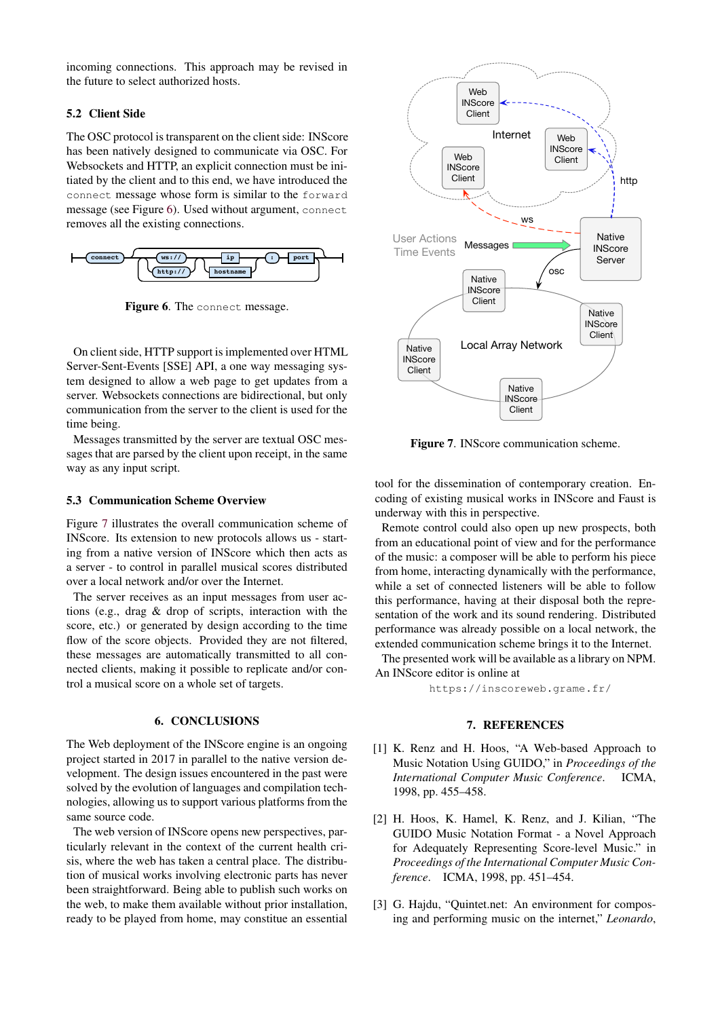incoming connections. This approach may be revised in the future to select authorized hosts.

# 5.2 Client Side

The OSC protocol is transparent on the client side: INScore has been natively designed to communicate via OSC. For Websockets and HTTP, an explicit connection must be initiated by the client and to this end, we have introduced the connect message whose form is similar to the forward message (see Figure [6\)](#page-4-4). Used without argument, connect removes all the existing connections.

<span id="page-4-4"></span>

Figure 6. The connect message.

On client side, HTTP support is implemented over HTML Server-Sent-Events [SSE] API, a one way messaging system designed to allow a web page to get updates from a server. Websockets connections are bidirectional, but only communication from the server to the client is used for the time being.

Messages transmitted by the server are textual OSC messages that are parsed by the client upon receipt, in the same way as any input script.

## <span id="page-4-3"></span>5.3 Communication Scheme Overview

Figure [7](#page-4-5) illustrates the overall communication scheme of INScore. Its extension to new protocols allows us - starting from a native version of INScore which then acts as a server - to control in parallel musical scores distributed over a local network and/or over the Internet.

The server receives as an input messages from user actions (e.g., drag & drop of scripts, interaction with the score, etc.) or generated by design according to the time flow of the score objects. Provided they are not filtered, these messages are automatically transmitted to all connected clients, making it possible to replicate and/or control a musical score on a whole set of targets.

# 6. CONCLUSIONS

The Web deployment of the INScore engine is an ongoing project started in 2017 in parallel to the native version development. The design issues encountered in the past were solved by the evolution of languages and compilation technologies, allowing us to support various platforms from the same source code.

The web version of INScore opens new perspectives, particularly relevant in the context of the current health crisis, where the web has taken a central place. The distribution of musical works involving electronic parts has never been straightforward. Being able to publish such works on the web, to make them available without prior installation, ready to be played from home, may constitue an essential

<span id="page-4-5"></span>

Figure 7. INScore communication scheme.

tool for the dissemination of contemporary creation. Encoding of existing musical works in INScore and Faust is underway with this in perspective.

Remote control could also open up new prospects, both from an educational point of view and for the performance of the music: a composer will be able to perform his piece from home, interacting dynamically with the performance, while a set of connected listeners will be able to follow this performance, having at their disposal both the representation of the work and its sound rendering. Distributed performance was already possible on a local network, the extended communication scheme brings it to the Internet.

The presented work will be available as a library on NPM. An INScore editor is online at

<https://inscoreweb.grame.fr/>

#### 7. REFERENCES

- <span id="page-4-0"></span>[1] K. Renz and H. Hoos, "A Web-based Approach to Music Notation Using GUIDO," in *Proceedings of the International Computer Music Conference*. ICMA, 1998, pp. 455–458.
- <span id="page-4-1"></span>[2] H. Hoos, K. Hamel, K. Renz, and J. Kilian, "The GUIDO Music Notation Format - a Novel Approach for Adequately Representing Score-level Music." in *Proceedings of the International Computer Music Conference*. ICMA, 1998, pp. 451–454.
- <span id="page-4-2"></span>[3] G. Hajdu, "Quintet.net: An environment for composing and performing music on the internet," *Leonardo*,